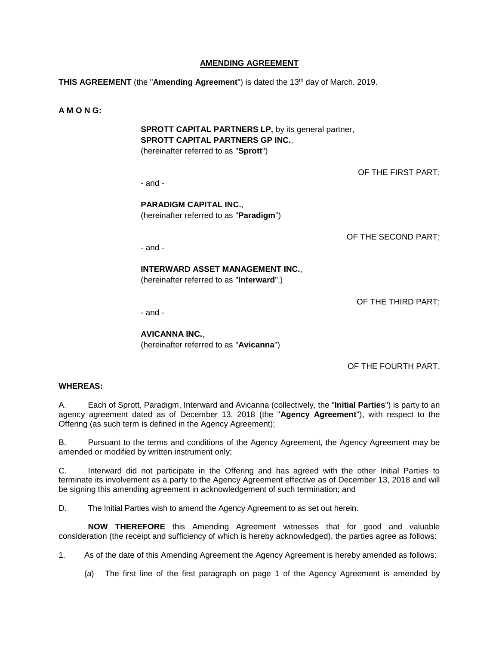## **AMENDING AGREEMENT**

**THIS AGREEMENT** (the "**Amending Agreement**") is dated the 13th day of March, 2019.

#### **A M O N G:**

**SPROTT CAPITAL PARTNERS LP,** by its general partner, **SPROTT CAPITAL PARTNERS GP INC.**, (hereinafter referred to as "**Sprott**")

- and -

OF THE FIRST PART;

**PARADIGM CAPITAL INC.**, (hereinafter referred to as "**Paradigm**")

OF THE SECOND PART;

- and -

# **INTERWARD ASSET MANAGEMENT INC.**,

(hereinafter referred to as "**Interward**",)

OF THE THIRD PART;

- and -

**AVICANNA INC.**, (hereinafter referred to as "**Avicanna**")

OF THE FOURTH PART.

## **WHEREAS:**

A. Each of Sprott, Paradigm, Interward and Avicanna (collectively, the "**Initial Parties**") is party to an agency agreement dated as of December 13, 2018 (the "**Agency Agreement**"), with respect to the Offering (as such term is defined in the Agency Agreement);

B. Pursuant to the terms and conditions of the Agency Agreement, the Agency Agreement may be amended or modified by written instrument only;

C. Interward did not participate in the Offering and has agreed with the other Initial Parties to terminate its involvement as a party to the Agency Agreement effective as of December 13, 2018 and will be signing this amending agreement in acknowledgement of such termination; and

D. The Initial Parties wish to amend the Agency Agreement to as set out herein.

**NOW THEREFORE** this Amending Agreement witnesses that for good and valuable consideration (the receipt and sufficiency of which is hereby acknowledged), the parties agree as follows:

1. As of the date of this Amending Agreement the Agency Agreement is hereby amended as follows:

(a) The first line of the first paragraph on page 1 of the Agency Agreement is amended by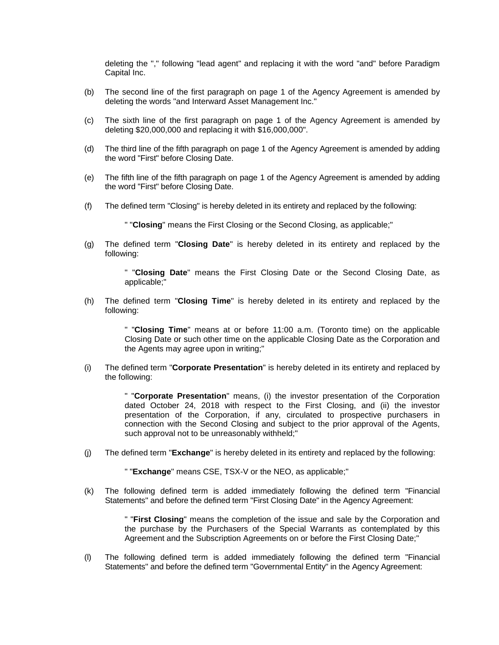deleting the "," following "lead agent" and replacing it with the word "and" before Paradigm Capital Inc.

- (b) The second line of the first paragraph on page 1 of the Agency Agreement is amended by deleting the words "and Interward Asset Management Inc."
- (c) The sixth line of the first paragraph on page 1 of the Agency Agreement is amended by deleting \$20,000,000 and replacing it with \$16,000,000".
- (d) The third line of the fifth paragraph on page 1 of the Agency Agreement is amended by adding the word "First" before Closing Date.
- (e) The fifth line of the fifth paragraph on page 1 of the Agency Agreement is amended by adding the word "First" before Closing Date.
- (f) The defined term "Closing" is hereby deleted in its entirety and replaced by the following:

" "**Closing**" means the First Closing or the Second Closing, as applicable;"

(g) The defined term "**Closing Date**" is hereby deleted in its entirety and replaced by the following:

> " "**Closing Date**" means the First Closing Date or the Second Closing Date, as applicable;"

(h) The defined term "**Closing Time**" is hereby deleted in its entirety and replaced by the following:

> " "**Closing Time**" means at or before 11:00 a.m. (Toronto time) on the applicable Closing Date or such other time on the applicable Closing Date as the Corporation and the Agents may agree upon in writing;"

(i) The defined term "**Corporate Presentation**" is hereby deleted in its entirety and replaced by the following:

> " "**Corporate Presentation**" means, (i) the investor presentation of the Corporation dated October 24, 2018 with respect to the First Closing, and (ii) the investor presentation of the Corporation, if any, circulated to prospective purchasers in connection with the Second Closing and subject to the prior approval of the Agents, such approval not to be unreasonably withheld;"

(j) The defined term "**Exchange**" is hereby deleted in its entirety and replaced by the following:

" "**Exchange**" means CSE, TSX-V or the NEO, as applicable;"

(k) The following defined term is added immediately following the defined term "Financial Statements" and before the defined term "First Closing Date" in the Agency Agreement:

> " "**First Closing**" means the completion of the issue and sale by the Corporation and the purchase by the Purchasers of the Special Warrants as contemplated by this Agreement and the Subscription Agreements on or before the First Closing Date;"

(l) The following defined term is added immediately following the defined term "Financial Statements" and before the defined term "Governmental Entity" in the Agency Agreement: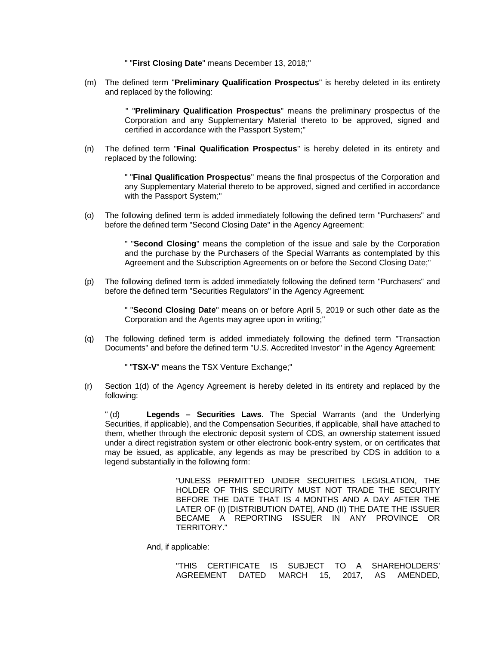" "**First Closing Date**" means December 13, 2018;"

(m) The defined term "**Preliminary Qualification Prospectus**" is hereby deleted in its entirety and replaced by the following:

> " "**Preliminary Qualification Prospectus**" means the preliminary prospectus of the Corporation and any Supplementary Material thereto to be approved, signed and certified in accordance with the Passport System;"

(n) The defined term "**Final Qualification Prospectus**" is hereby deleted in its entirety and replaced by the following:

> " "**Final Qualification Prospectus**" means the final prospectus of the Corporation and any Supplementary Material thereto to be approved, signed and certified in accordance with the Passport System;"

(o) The following defined term is added immediately following the defined term "Purchasers" and before the defined term "Second Closing Date" in the Agency Agreement:

> " "**Second Closing**" means the completion of the issue and sale by the Corporation and the purchase by the Purchasers of the Special Warrants as contemplated by this Agreement and the Subscription Agreements on or before the Second Closing Date;"

(p) The following defined term is added immediately following the defined term "Purchasers" and before the defined term "Securities Regulators" in the Agency Agreement:

> " "**Second Closing Date**" means on or before April 5, 2019 or such other date as the Corporation and the Agents may agree upon in writing;"

(q) The following defined term is added immediately following the defined term "Transaction Documents" and before the defined term "U.S. Accredited Investor" in the Agency Agreement:

" "**TSX-V**" means the TSX Venture Exchange;"

(r) Section 1(d) of the Agency Agreement is hereby deleted in its entirety and replaced by the following:

" (d) **Legends – Securities Laws**. The Special Warrants (and the Underlying Securities, if applicable), and the Compensation Securities, if applicable, shall have attached to them, whether through the electronic deposit system of CDS, an ownership statement issued under a direct registration system or other electronic book-entry system, or on certificates that may be issued, as applicable, any legends as may be prescribed by CDS in addition to a legend substantially in the following form:

> "UNLESS PERMITTED UNDER SECURITIES LEGISLATION, THE HOLDER OF THIS SECURITY MUST NOT TRADE THE SECURITY BEFORE THE DATE THAT IS 4 MONTHS AND A DAY AFTER THE LATER OF (I) [DISTRIBUTION DATE], AND (II) THE DATE THE ISSUER BECAME A REPORTING ISSUER IN ANY PROVINCE OR TERRITORY."

And, if applicable:

"THIS CERTIFICATE IS SUBJECT TO A SHAREHOLDERS' AGREEMENT DATED MARCH 15, 2017, AS AMENDED,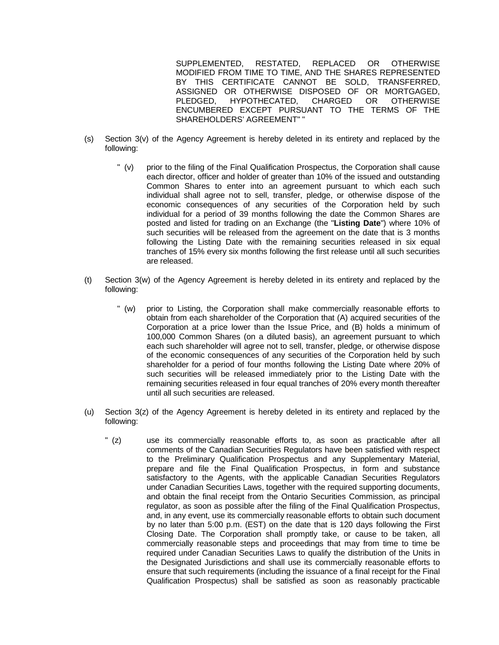SUPPLEMENTED, RESTATED, REPLACED OR OTHERWISE MODIFIED FROM TIME TO TIME, AND THE SHARES REPRESENTED BY THIS CERTIFICATE CANNOT BE SOLD, TRANSFERRED, ASSIGNED OR OTHERWISE DISPOSED OF OR MORTGAGED, PLEDGED, HYPOTHECATED, CHARGED OR OTHERWISE ENCUMBERED EXCEPT PURSUANT TO THE TERMS OF THE SHAREHOLDERS' AGREEMENT" "

- (s) Section 3(v) of the Agency Agreement is hereby deleted in its entirety and replaced by the following:
	- " (v) prior to the filing of the Final Qualification Prospectus, the Corporation shall cause each director, officer and holder of greater than 10% of the issued and outstanding Common Shares to enter into an agreement pursuant to which each such individual shall agree not to sell, transfer, pledge, or otherwise dispose of the economic consequences of any securities of the Corporation held by such individual for a period of 39 months following the date the Common Shares are posted and listed for trading on an Exchange (the "**Listing Date**") where 10% of such securities will be released from the agreement on the date that is 3 months following the Listing Date with the remaining securities released in six equal tranches of 15% every six months following the first release until all such securities are released.
- (t) Section 3(w) of the Agency Agreement is hereby deleted in its entirety and replaced by the following:
	- " (w) prior to Listing, the Corporation shall make commercially reasonable efforts to obtain from each shareholder of the Corporation that (A) acquired securities of the Corporation at a price lower than the Issue Price, and (B) holds a minimum of 100,000 Common Shares (on a diluted basis), an agreement pursuant to which each such shareholder will agree not to sell, transfer, pledge, or otherwise dispose of the economic consequences of any securities of the Corporation held by such shareholder for a period of four months following the Listing Date where 20% of such securities will be released immediately prior to the Listing Date with the remaining securities released in four equal tranches of 20% every month thereafter until all such securities are released.
- (u) Section 3(z) of the Agency Agreement is hereby deleted in its entirety and replaced by the following:
	- " (z) use its commercially reasonable efforts to, as soon as practicable after all comments of the Canadian Securities Regulators have been satisfied with respect to the Preliminary Qualification Prospectus and any Supplementary Material, prepare and file the Final Qualification Prospectus, in form and substance satisfactory to the Agents, with the applicable Canadian Securities Regulators under Canadian Securities Laws, together with the required supporting documents, and obtain the final receipt from the Ontario Securities Commission, as principal regulator, as soon as possible after the filing of the Final Qualification Prospectus, and, in any event, use its commercially reasonable efforts to obtain such document by no later than 5:00 p.m. (EST) on the date that is 120 days following the First Closing Date. The Corporation shall promptly take, or cause to be taken, all commercially reasonable steps and proceedings that may from time to time be required under Canadian Securities Laws to qualify the distribution of the Units in the Designated Jurisdictions and shall use its commercially reasonable efforts to ensure that such requirements (including the issuance of a final receipt for the Final Qualification Prospectus) shall be satisfied as soon as reasonably practicable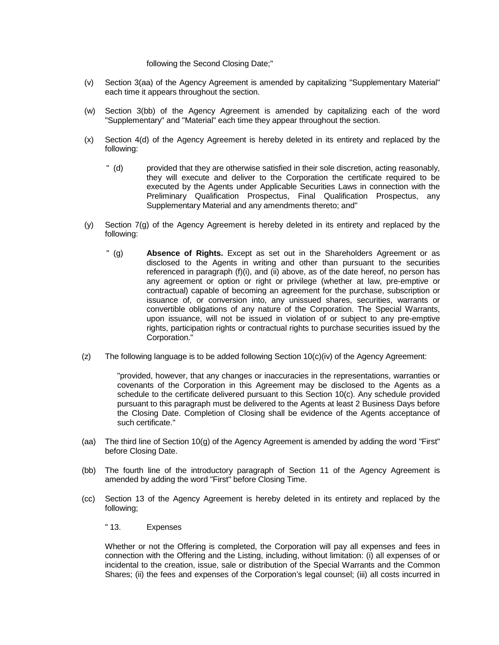#### following the Second Closing Date;"

- (v) Section 3(aa) of the Agency Agreement is amended by capitalizing "Supplementary Material" each time it appears throughout the section.
- (w) Section 3(bb) of the Agency Agreement is amended by capitalizing each of the word "Supplementary" and "Material" each time they appear throughout the section.
- (x) Section 4(d) of the Agency Agreement is hereby deleted in its entirety and replaced by the following:
	- " (d) provided that they are otherwise satisfied in their sole discretion, acting reasonably, they will execute and deliver to the Corporation the certificate required to be executed by the Agents under Applicable Securities Laws in connection with the Preliminary Qualification Prospectus, Final Qualification Prospectus, any Supplementary Material and any amendments thereto; and"
- (y) Section 7(g) of the Agency Agreement is hereby deleted in its entirety and replaced by the following:
	- " (g) **Absence of Rights.** Except as set out in the Shareholders Agreement or as disclosed to the Agents in writing and other than pursuant to the securities referenced in paragraph (f)(i), and (ii) above, as of the date hereof, no person has any agreement or option or right or privilege (whether at law, pre-emptive or contractual) capable of becoming an agreement for the purchase, subscription or issuance of, or conversion into, any unissued shares, securities, warrants or convertible obligations of any nature of the Corporation. The Special Warrants, upon issuance, will not be issued in violation of or subject to any pre-emptive rights, participation rights or contractual rights to purchase securities issued by the Corporation."
- (z) The following language is to be added following Section 10(c)(iv) of the Agency Agreement:

"provided, however, that any changes or inaccuracies in the representations, warranties or covenants of the Corporation in this Agreement may be disclosed to the Agents as a schedule to the certificate delivered pursuant to this Section 10(c). Any schedule provided pursuant to this paragraph must be delivered to the Agents at least 2 Business Days before the Closing Date. Completion of Closing shall be evidence of the Agents acceptance of such certificate."

- (aa) The third line of Section 10(g) of the Agency Agreement is amended by adding the word "First" before Closing Date.
- (bb) The fourth line of the introductory paragraph of Section 11 of the Agency Agreement is amended by adding the word "First" before Closing Time.
- (cc) Section 13 of the Agency Agreement is hereby deleted in its entirety and replaced by the following;
	- " 13. Expenses

Whether or not the Offering is completed, the Corporation will pay all expenses and fees in connection with the Offering and the Listing, including, without limitation: (i) all expenses of or incidental to the creation, issue, sale or distribution of the Special Warrants and the Common Shares; (ii) the fees and expenses of the Corporation's legal counsel; (iii) all costs incurred in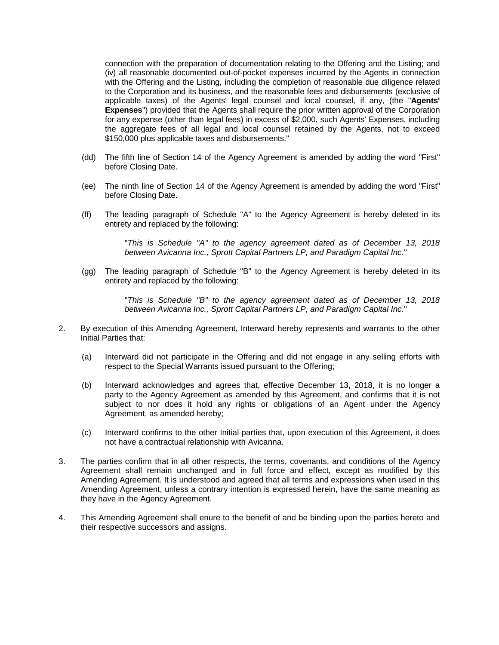connection with the preparation of documentation relating to the Offering and the Listing; and (iv) all reasonable documented out-of-pocket expenses incurred by the Agents in connection with the Offering and the Listing, including the completion of reasonable due diligence related to the Corporation and its business, and the reasonable fees and disbursements (exclusive of applicable taxes) of the Agents' legal counsel and local counsel, if any, (the "**Agents' Expenses**") provided that the Agents shall require the prior written approval of the Corporation for any expense (other than legal fees) in excess of \$2,000, such Agents' Expenses, including the aggregate fees of all legal and local counsel retained by the Agents, not to exceed \$150,000 plus applicable taxes and disbursements."

- (dd) The fifth line of Section 14 of the Agency Agreement is amended by adding the word "First" before Closing Date.
- (ee) The ninth line of Section 14 of the Agency Agreement is amended by adding the word "First" before Closing Date.
- (ff) The leading paragraph of Schedule "A" to the Agency Agreement is hereby deleted in its entirety and replaced by the following:

"*This is Schedule "A" to the agency agreement dated as of December 13, 2018 between Avicanna Inc., Sprott Capital Partners LP, and Paradigm Capital Inc.*"

(gg) The leading paragraph of Schedule "B" to the Agency Agreement is hereby deleted in its entirety and replaced by the following:

> "*This is Schedule "B" to the agency agreement dated as of December 13, 2018 between Avicanna Inc., Sprott Capital Partners LP, and Paradigm Capital Inc.*"

- 2. By execution of this Amending Agreement, Interward hereby represents and warrants to the other Initial Parties that:
	- (a) Interward did not participate in the Offering and did not engage in any selling efforts with respect to the Special Warrants issued pursuant to the Offering;
	- (b) Interward acknowledges and agrees that, effective December 13, 2018, it is no longer a party to the Agency Agreement as amended by this Agreement, and confirms that it is not subject to nor does it hold any rights or obligations of an Agent under the Agency Agreement, as amended hereby;
	- (c) Interward confirms to the other Initial parties that, upon execution of this Agreement, it does not have a contractual relationship with Avicanna.
- 3. The parties confirm that in all other respects, the terms, covenants, and conditions of the Agency Agreement shall remain unchanged and in full force and effect, except as modified by this Amending Agreement. It is understood and agreed that all terms and expressions when used in this Amending Agreement, unless a contrary intention is expressed herein, have the same meaning as they have in the Agency Agreement.
- 4. This Amending Agreement shall enure to the benefit of and be binding upon the parties hereto and their respective successors and assigns.